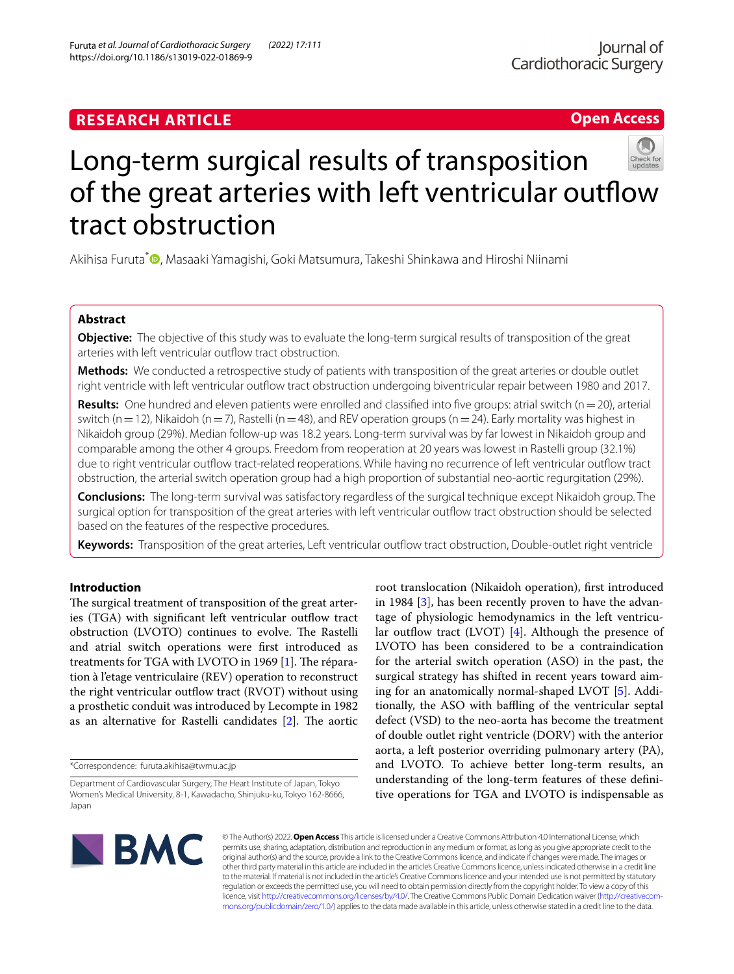# **RESEARCH ARTICLE**





# Long-term surgical results of transposition of the great arteries with left ventricular outflow tract obstruction

Akihisa Furuta<sup>\*</sup><sup>®</sup>[,](http://orcid.org/0000-0001-9223-9067) Masaaki Yamagishi, Goki Matsumura, Takeshi Shinkawa and Hiroshi Niinami

# **Abstract**

**Objective:** The objective of this study was to evaluate the long-term surgical results of transposition of the great arteries with left ventricular outfow tract obstruction.

**Methods:** We conducted a retrospective study of patients with transposition of the great arteries or double outlet right ventricle with left ventricular outfow tract obstruction undergoing biventricular repair between 1980 and 2017.

**Results:** One hundred and eleven patients were enrolled and classified into five groups: atrial switch (n=20), arterial switch (n = 12), Nikaidoh (n = 7), Rastelli (n = 48), and REV operation groups (n = 24). Early mortality was highest in Nikaidoh group (29%). Median follow-up was 18.2 years. Long-term survival was by far lowest in Nikaidoh group and comparable among the other 4 groups. Freedom from reoperation at 20 years was lowest in Rastelli group (32.1%) due to right ventricular outfow tract-related reoperations. While having no recurrence of left ventricular outfow tract obstruction, the arterial switch operation group had a high proportion of substantial neo-aortic regurgitation (29%).

**Conclusions:** The long-term survival was satisfactory regardless of the surgical technique except Nikaidoh group. The surgical option for transposition of the great arteries with left ventricular outfow tract obstruction should be selected based on the features of the respective procedures.

**Keywords:** Transposition of the great arteries, Left ventricular outfow tract obstruction, Double-outlet right ventricle

# **Introduction**

The surgical treatment of transposition of the great arteries (TGA) with significant left ventricular outflow tract obstruction (LVOTO) continues to evolve. The Rastelli and atrial switch operations were frst introduced as treatments for TGA with LVOTO in 1969  $[1]$  $[1]$ . The réparation à l'etage ventriculaire (REV) operation to reconstruct the right ventricular outflow tract (RVOT) without using a prosthetic conduit was introduced by Lecompte in 1982 as an alternative for Rastelli candidates  $[2]$  $[2]$ . The aortic

\*Correspondence: furuta.akihisa@twmu.ac.jp

root translocation (Nikaidoh operation), frst introduced in 1984 [[3\]](#page-6-2), has been recently proven to have the advantage of physiologic hemodynamics in the left ventricular outflow tract (LVOT)  $[4]$  $[4]$ . Although the presence of LVOTO has been considered to be a contraindication for the arterial switch operation (ASO) in the past, the surgical strategy has shifted in recent years toward aiming for an anatomically normal-shaped LVOT [\[5](#page-6-4)]. Additionally, the ASO with bafing of the ventricular septal defect (VSD) to the neo-aorta has become the treatment of double outlet right ventricle (DORV) with the anterior aorta, a left posterior overriding pulmonary artery (PA), and LVOTO. To achieve better long-term results, an understanding of the long-term features of these defnitive operations for TGA and LVOTO is indispensable as



© The Author(s) 2022. **Open Access** This article is licensed under a Creative Commons Attribution 4.0 International License, which permits use, sharing, adaptation, distribution and reproduction in any medium or format, as long as you give appropriate credit to the original author(s) and the source, provide a link to the Creative Commons licence, and indicate if changes were made. The images or other third party material in this article are included in the article's Creative Commons licence, unless indicated otherwise in a credit line to the material. If material is not included in the article's Creative Commons licence and your intended use is not permitted by statutory regulation or exceeds the permitted use, you will need to obtain permission directly from the copyright holder. To view a copy of this licence, visit [http://creativecommons.org/licenses/by/4.0/.](http://creativecommons.org/licenses/by/4.0/) The Creative Commons Public Domain Dedication waiver ([http://creativecom](http://creativecommons.org/publicdomain/zero/1.0/)[mons.org/publicdomain/zero/1.0/\)](http://creativecommons.org/publicdomain/zero/1.0/) applies to the data made available in this article, unless otherwise stated in a credit line to the data.

Department of Cardiovascular Surgery, The Heart Institute of Japan, Tokyo Women's Medical University, 8-1, Kawadacho, Shinjuku-ku, Tokyo 162-8666, Japan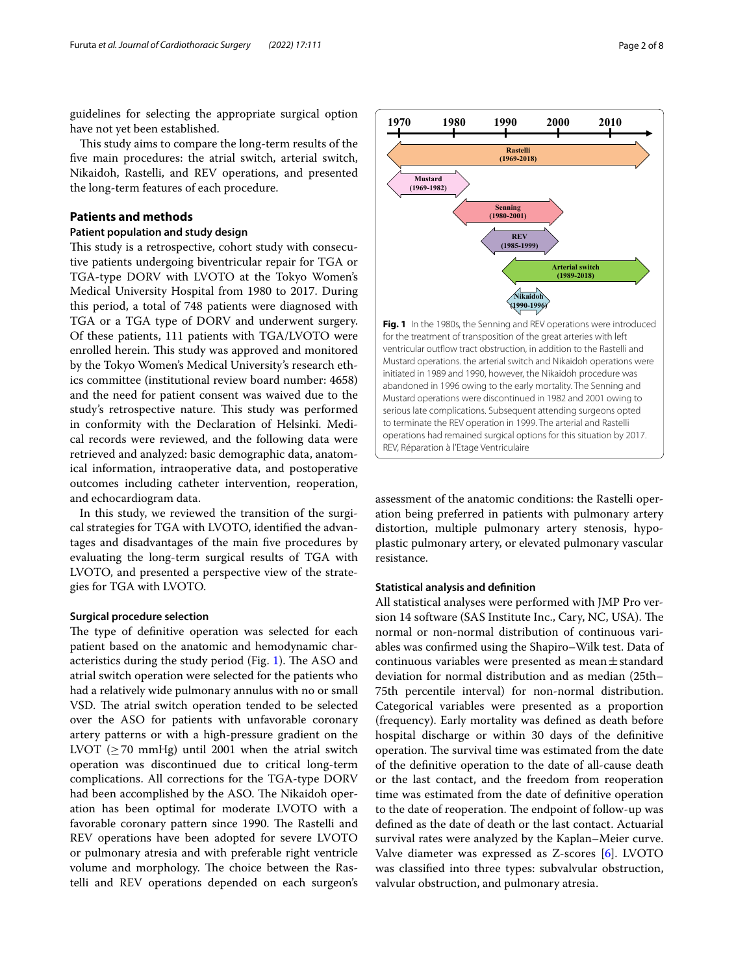guidelines for selecting the appropriate surgical option have not yet been established.

This study aims to compare the long-term results of the fve main procedures: the atrial switch, arterial switch, Nikaidoh, Rastelli, and REV operations, and presented the long-term features of each procedure.

# **Patients and methods**

# **Patient population and study design**

This study is a retrospective, cohort study with consecutive patients undergoing biventricular repair for TGA or TGA-type DORV with LVOTO at the Tokyo Women's Medical University Hospital from 1980 to 2017. During this period, a total of 748 patients were diagnosed with TGA or a TGA type of DORV and underwent surgery. Of these patients, 111 patients with TGA/LVOTO were enrolled herein. This study was approved and monitored by the Tokyo Women's Medical University's research ethics committee (institutional review board number: 4658) and the need for patient consent was waived due to the study's retrospective nature. This study was performed in conformity with the Declaration of Helsinki. Medical records were reviewed, and the following data were retrieved and analyzed: basic demographic data, anatomical information, intraoperative data, and postoperative outcomes including catheter intervention, reoperation, and echocardiogram data.

In this study, we reviewed the transition of the surgical strategies for TGA with LVOTO, identifed the advantages and disadvantages of the main fve procedures by evaluating the long-term surgical results of TGA with LVOTO, and presented a perspective view of the strategies for TGA with LVOTO.

#### **Surgical procedure selection**

The type of definitive operation was selected for each patient based on the anatomic and hemodynamic char-acteristics during the study period (Fig. [1](#page-1-0)). The ASO and atrial switch operation were selected for the patients who had a relatively wide pulmonary annulus with no or small VSD. The atrial switch operation tended to be selected over the ASO for patients with unfavorable coronary artery patterns or with a high-pressure gradient on the LVOT ( $\geq$  70 mmHg) until 2001 when the atrial switch operation was discontinued due to critical long-term complications. All corrections for the TGA-type DORV had been accomplished by the ASO. The Nikaidoh operation has been optimal for moderate LVOTO with a favorable coronary pattern since 1990. The Rastelli and REV operations have been adopted for severe LVOTO or pulmonary atresia and with preferable right ventricle volume and morphology. The choice between the Rastelli and REV operations depended on each surgeon's



<span id="page-1-0"></span>assessment of the anatomic conditions: the Rastelli operation being preferred in patients with pulmonary artery distortion, multiple pulmonary artery stenosis, hypoplastic pulmonary artery, or elevated pulmonary vascular resistance.

#### **Statistical analysis and defnition**

All statistical analyses were performed with JMP Pro version 14 software (SAS Institute Inc., Cary, NC, USA). The normal or non-normal distribution of continuous variables was confrmed using the Shapiro–Wilk test. Data of continuous variables were presented as mean $\pm$ standard deviation for normal distribution and as median (25th– 75th percentile interval) for non-normal distribution. Categorical variables were presented as a proportion (frequency). Early mortality was defned as death before hospital discharge or within 30 days of the defnitive operation. The survival time was estimated from the date of the defnitive operation to the date of all-cause death or the last contact, and the freedom from reoperation time was estimated from the date of defnitive operation to the date of reoperation. The endpoint of follow-up was defned as the date of death or the last contact. Actuarial survival rates were analyzed by the Kaplan–Meier curve. Valve diameter was expressed as Z-scores [[6\]](#page-6-5). LVOTO was classifed into three types: subvalvular obstruction, valvular obstruction, and pulmonary atresia.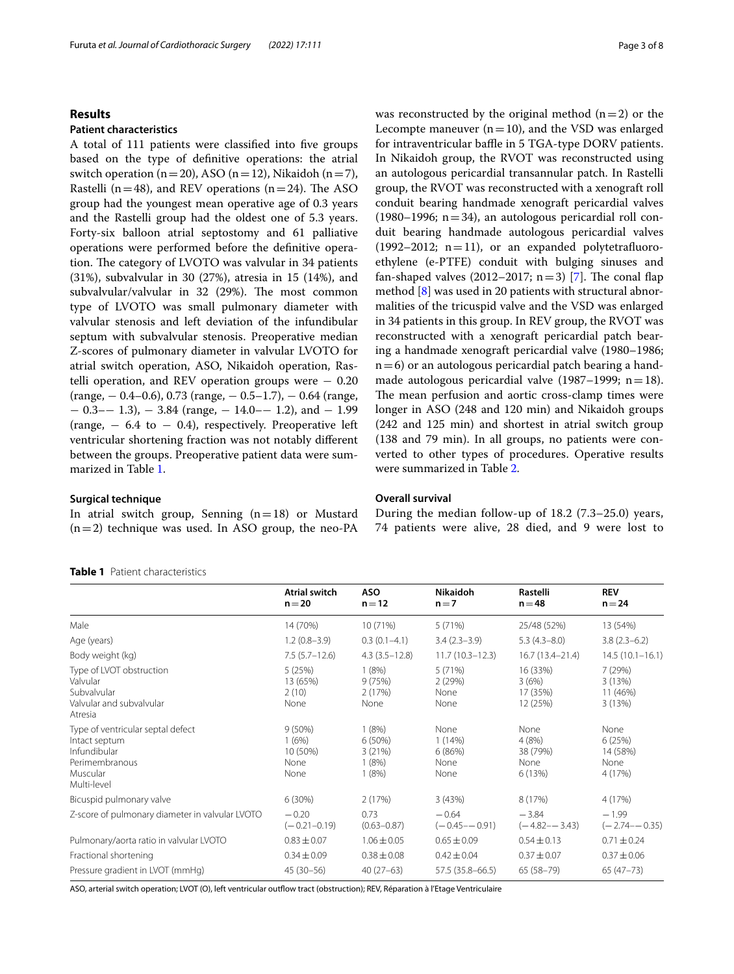# **Results**

## **Patient characteristics**

A total of 111 patients were classifed into fve groups based on the type of defnitive operations: the atrial switch operation (n=20), ASO (n=12), Nikaidoh (n=7), Rastelli ( $n=48$ ), and REV operations ( $n=24$ ). The ASO group had the youngest mean operative age of 0.3 years and the Rastelli group had the oldest one of 5.3 years. Forty-six balloon atrial septostomy and 61 palliative operations were performed before the defnitive operation. The category of LVOTO was valvular in 34 patients (31%), subvalvular in 30 (27%), atresia in 15 (14%), and subvalvular/valvular in 32 (29%). The most common type of LVOTO was small pulmonary diameter with valvular stenosis and left deviation of the infundibular septum with subvalvular stenosis. Preoperative median Z-scores of pulmonary diameter in valvular LVOTO for atrial switch operation, ASO, Nikaidoh operation, Rastelli operation, and REV operation groups were  $-0.20$ (range, − 0.4–0.6), 0.73 (range, − 0.5–1.7), − 0.64 (range,  $-$  0.3– $-$  1.3),  $-$  3.84 (range,  $-$  14.0– $-$  1.2), and  $-$  1.99 (range,  $-6.4$  to  $-0.4$ ), respectively. Preoperative left ventricular shortening fraction was not notably diferent between the groups. Preoperative patient data were summarized in Table [1](#page-2-0).

# **Surgical technique**

In atrial switch group, Senning  $(n=18)$  or Mustard  $(n=2)$  technique was used. In ASO group, the neo-PA

#### <span id="page-2-0"></span>**Table 1** Patient characteristics

was reconstructed by the original method  $(n=2)$  or the Lecompte maneuver  $(n=10)$ , and the VSD was enlarged for intraventricular baffle in 5 TGA-type DORV patients. In Nikaidoh group, the RVOT was reconstructed using an autologous pericardial transannular patch. In Rastelli group, the RVOT was reconstructed with a xenograft roll conduit bearing handmade xenograft pericardial valves  $(1980-1996; n=34)$ , an autologous pericardial roll conduit bearing handmade autologous pericardial valves (1992–2012;  $n=11$ ), or an expanded polytetrafluoroethylene (e-PTFE) conduit with bulging sinuses and fan-shaped valves (2012–2017;  $n=3$ ) [[7\]](#page-6-6). The conal flap method [\[8\]](#page-6-7) was used in 20 patients with structural abnormalities of the tricuspid valve and the VSD was enlarged in 34 patients in this group. In REV group, the RVOT was reconstructed with a xenograft pericardial patch bearing a handmade xenograft pericardial valve (1980–1986;  $n=6$ ) or an autologous pericardial patch bearing a handmade autologous pericardial valve (1987–1999;  $n=18$ ). The mean perfusion and aortic cross-clamp times were longer in ASO (248 and 120 min) and Nikaidoh groups (242 and 125 min) and shortest in atrial switch group (138 and 79 min). In all groups, no patients were converted to other types of procedures. Operative results were summarized in Table [2.](#page-3-0)

# **Overall survival**

During the median follow-up of 18.2 (7.3–25.0) years, 74 patients were alive, 28 died, and 9 were lost to

|                                                                                                                 | <b>Atrial switch</b><br>$n = 20$               | <b>ASO</b><br>$n = 12$                         | <b>Nikaidoh</b><br>$n=7$                 | Rastelli<br>$n = 48$                        | <b>REV</b><br>$n = 24$                        |
|-----------------------------------------------------------------------------------------------------------------|------------------------------------------------|------------------------------------------------|------------------------------------------|---------------------------------------------|-----------------------------------------------|
| Male                                                                                                            | 14 (70%)                                       | 10 (71%)                                       | 5(71%)                                   | 25/48 (52%)                                 | 13 (54%)                                      |
| Age (years)                                                                                                     | $1.2(0.8-3.9)$                                 | $0.3(0.1-4.1)$                                 | $3.4(2.3-3.9)$                           | $5.3(4.3-8.0)$                              | $3.8(2.3-6.2)$                                |
| Body weight (kg)                                                                                                | $7.5(5.7-12.6)$                                | $4.3(3.5-12.8)$                                | $11.7(10.3 - 12.3)$                      | $16.7(13.4 - 21.4)$                         | $14.5(10.1 - 16.1)$                           |
| Type of LVOT obstruction<br>Valvular<br>Subvalvular<br>Valvular and subvalvular<br>Atresia                      | 5(25%)<br>13 (65%)<br>2(10)<br>None            | 1(8%)<br>9(75%)<br>2(17%)<br>None              | 5(71%)<br>2(29%)<br>None<br>None         | 16 (33%)<br>3(6%)<br>17 (35%)<br>12 (25%)   | 7(29%)<br>3(13%)<br>11 (46%)<br>3(13%)        |
| Type of ventricular septal defect<br>Intact septum<br>Infundibular<br>Perimembranous<br>Muscular<br>Multi-level | $9(50\%)$<br>1(6%)<br>10 (50%)<br>None<br>None | 1(8%)<br>$6(50\%)$<br>3(21%)<br>1(8%)<br>1(8%) | None<br>1(14%)<br>6(86%)<br>None<br>None | None<br>4(8%)<br>38 (79%)<br>None<br>6(13%) | None<br>6(25%)<br>14 (58%)<br>None<br>4 (17%) |
| Bicuspid pulmonary valve                                                                                        | 6(30%)                                         | 2(17%)                                         | 3(43%)                                   | 8 (17%)                                     | 4 (17%)                                       |
| Z-score of pulmonary diameter in valvular LVOTO                                                                 | $-0.20$<br>$(-0.21 - 0.19)$                    | 0.73<br>$(0.63 - 0.87)$                        | $-0.64$<br>$(-0.45 - -0.91)$             | $-3.84$<br>$(-4.82 - -3.43)$                | $-1.99$<br>$(-2.74 - -0.35)$                  |
| Pulmonary/aorta ratio in valvular LVOTO                                                                         | $0.83 \pm 0.07$                                | $1.06 \pm 0.05$                                | $0.65 \pm 0.09$                          | $0.54 \pm 0.13$                             | $0.71 \pm 0.24$                               |
| Fractional shortening                                                                                           | $0.34 \pm 0.09$                                | $0.38 \pm 0.08$                                | $0.42 \pm 0.04$                          | $0.37 \pm 0.07$                             | $0.37 \pm 0.06$                               |
| Pressure gradient in LVOT (mmHg)                                                                                | $45(30-56)$                                    | $40(27-63)$                                    | 57.5 (35.8–66.5)                         | $65(58-79)$                                 | $65(47-73)$                                   |

ASO, arterial switch operation; LVOT (O), left ventricular outfow tract (obstruction); REV, Réparation à l'Etage Ventriculaire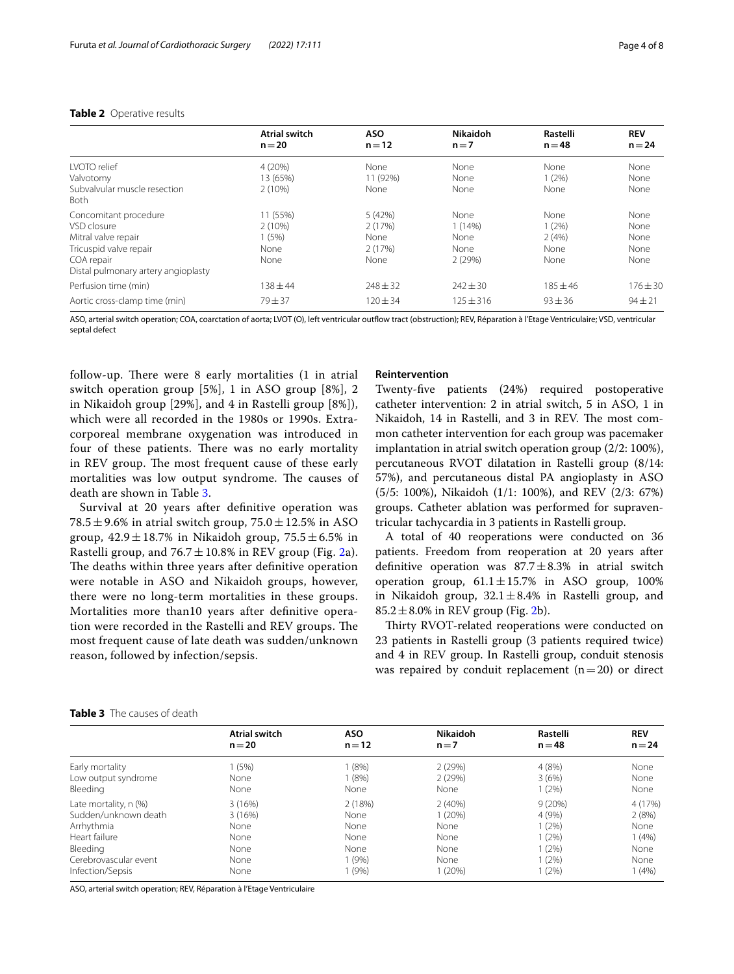# <span id="page-3-0"></span>**Table 2** Operative results

|                                                                                                                                            | <b>Atrial switch</b>                           | <b>ASO</b>                                  | <b>Nikaidoh</b>                          | Rastelli                               | <b>REV</b>                           |
|--------------------------------------------------------------------------------------------------------------------------------------------|------------------------------------------------|---------------------------------------------|------------------------------------------|----------------------------------------|--------------------------------------|
|                                                                                                                                            | $n = 20$                                       | $n = 12$                                    | $n=7$                                    | $n = 48$                               | $n = 24$                             |
| <b>IVOTO</b> relief<br>Valvotomy<br>Subvalvular muscle resection<br><b>Both</b>                                                            | 4(20%)<br>13 (65%)<br>$2(10\%)$                | None<br>11 (92%)<br>None                    | None<br>None<br>None                     | None<br>$1(2\%)$<br>None               | None<br>None<br>None                 |
| Concomitant procedure<br>VSD closure<br>Mitral valve repair<br>Tricuspid valve repair<br>COA repair<br>Distal pulmonary artery angioplasty | 11 (55%)<br>$2(10\%)$<br>1(5%)<br>None<br>None | 5 (42%)<br>2(17%)<br>None<br>2(17%)<br>None | None<br>1(14%)<br>None<br>None<br>2(29%) | None<br>1(2%)<br>2(4%)<br>None<br>None | None<br>None<br>None<br>None<br>None |
| Perfusion time (min)                                                                                                                       | $138 + 44$                                     | $248 + 32$                                  | $242 \pm 30$                             | $185 + 46$                             | $176 + 30$                           |
| Aortic cross-clamp time (min)                                                                                                              | $79 + 37$                                      | $120 \pm 34$                                | $125 \pm 316$                            | $93 \pm 36$                            | $94 \pm 21$                          |

ASO, arterial switch operation; COA, coarctation of aorta; LVOT (O), left ventricular outfow tract (obstruction); REV, Réparation à l'Etage Ventriculaire; VSD, ventricular septal defect

follow-up. There were  $8$  early mortalities  $(1 \text{ in atrial})$ switch operation group [5%], 1 in ASO group [8%], 2 in Nikaidoh group [29%], and 4 in Rastelli group [8%]), which were all recorded in the 1980s or 1990s. Extracorporeal membrane oxygenation was introduced in four of these patients. There was no early mortality in REV group. The most frequent cause of these early mortalities was low output syndrome. The causes of death are shown in Table [3](#page-3-1).

Survival at 20 years after defnitive operation was 78.5  $\pm$  9.6% in atrial switch group, 75.0  $\pm$  12.5% in ASO group,  $42.9 \pm 18.7\%$  in Nikaidoh group,  $75.5 \pm 6.5\%$  in Rastelli group, and  $76.7 \pm 10.8\%$  in REV group (Fig. [2](#page-4-0)a). The deaths within three years after definitive operation were notable in ASO and Nikaidoh groups, however, there were no long-term mortalities in these groups. Mortalities more than10 years after defnitive operation were recorded in the Rastelli and REV groups. The most frequent cause of late death was sudden/unknown reason, followed by infection/sepsis.

#### **Reintervention**

Twenty-fve patients (24%) required postoperative catheter intervention: 2 in atrial switch, 5 in ASO, 1 in Nikaidoh, 14 in Rastelli, and 3 in REV. The most common catheter intervention for each group was pacemaker implantation in atrial switch operation group (2/2: 100%), percutaneous RVOT dilatation in Rastelli group (8/14: 57%), and percutaneous distal PA angioplasty in ASO (5/5: 100%), Nikaidoh (1/1: 100%), and REV (2/3: 67%) groups. Catheter ablation was performed for supraventricular tachycardia in 3 patients in Rastelli group.

A total of 40 reoperations were conducted on 36 patients. Freedom from reoperation at 20 years after definitive operation was  $87.7 \pm 8.3$ % in atrial switch operation group,  $61.1 \pm 15.7\%$  in ASO group, 100% in Nikaidoh group,  $32.1 \pm 8.4\%$  in Rastelli group, and  $85.2 \pm 8.0\%$  in REV group (Fig. [2](#page-4-0)b).

Thirty RVOT-related reoperations were conducted on 23 patients in Rastelli group (3 patients required twice) and 4 in REV group. In Rastelli group, conduit stenosis was repaired by conduit replacement  $(n=20)$  or direct

| <b>Atrial switch</b> | <b>ASO</b> | <b>Nikaidoh</b> | Rastelli | <b>REV</b> |  |
|----------------------|------------|-----------------|----------|------------|--|
| $n = 20$             | $n = 12$   | $n = 7$         | $n = 48$ | $n = 24$   |  |
| (5%)                 | (8%)       | 2(29%)          | 4(8%)    | None       |  |
| None                 | (8%)       | 2(29%)          | 3(6%)    | None       |  |
| None                 | None       | None            | 1(2%)    | None       |  |
| 3(16%)               | 2(18%)     | 2(40%)          | 9(20%)   | 4 (17%)    |  |
| 3(16%)               | None       | (20%)           | 4(9%)    | 2(8%)      |  |
| None                 | None       | None            | 1(2%)    | None       |  |
| None                 | None       | None            | 1(2%)    | 1(4%)      |  |
| None                 | None       | None            | $1(2\%)$ | None       |  |
| None                 | (9%        | None            | 1(2%)    | None       |  |
|                      |            |                 |          | (4% )      |  |
|                      | None       | (9% )           | (20%)    | 1(2%)      |  |

# <span id="page-3-1"></span>**Table 3** The causes of death

ASO, arterial switch operation; REV, Réparation à l'Etage Ventriculaire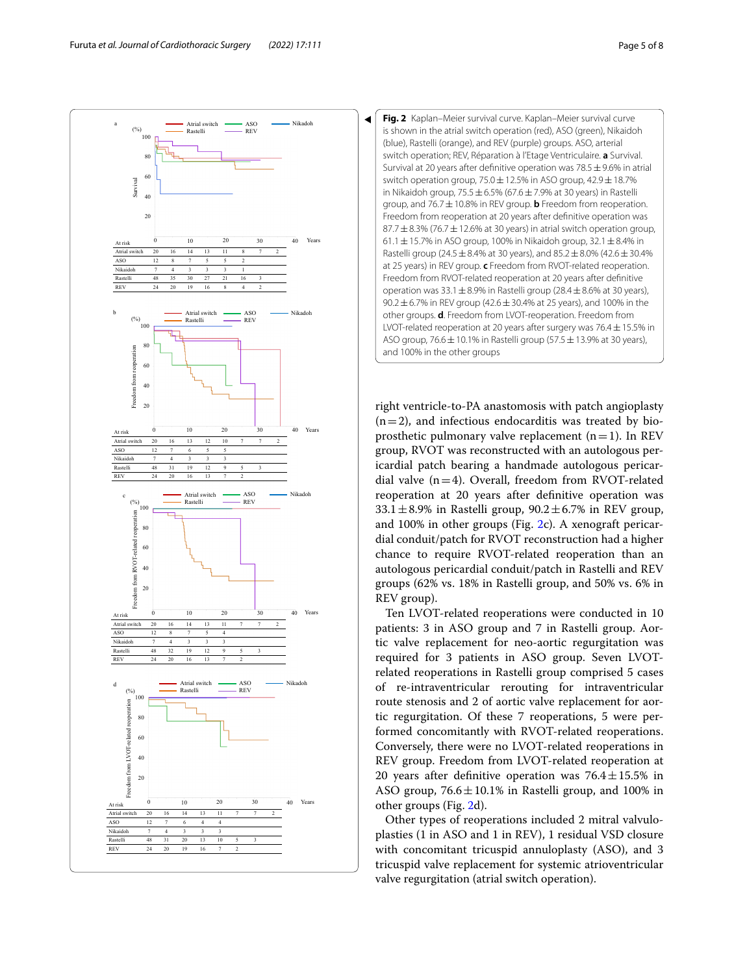

<span id="page-4-0"></span>

right ventricle-to-PA anastomosis with patch angioplasty  $(n=2)$ , and infectious endocarditis was treated by bioprosthetic pulmonary valve replacement  $(n=1)$ . In REV group, RVOT was reconstructed with an autologous pericardial patch bearing a handmade autologous pericardial valve  $(n=4)$ . Overall, freedom from RVOT-related reoperation at 20 years after defnitive operation was  $33.1 \pm 8.9\%$  in Rastelli group,  $90.2 \pm 6.7\%$  in REV group, and 100% in other groups (Fig. [2](#page-4-0)c). A xenograft pericardial conduit/patch for RVOT reconstruction had a higher chance to require RVOT-related reoperation than an autologous pericardial conduit/patch in Rastelli and REV groups (62% vs. 18% in Rastelli group, and 50% vs. 6% in REV group).

Ten LVOT-related reoperations were conducted in 10 patients: 3 in ASO group and 7 in Rastelli group. Aortic valve replacement for neo-aortic regurgitation was required for 3 patients in ASO group. Seven LVOTrelated reoperations in Rastelli group comprised 5 cases of re-intraventricular rerouting for intraventricular route stenosis and 2 of aortic valve replacement for aortic regurgitation. Of these 7 reoperations, 5 were performed concomitantly with RVOT-related reoperations. Conversely, there were no LVOT-related reoperations in REV group. Freedom from LVOT-related reoperation at 20 vears after definitive operation was  $76.4 \pm 15.5\%$  in ASO group,  $76.6 \pm 10.1\%$  in Rastelli group, and 100% in other groups (Fig. [2d](#page-4-0)).

Other types of reoperations included 2 mitral valvuloplasties (1 in ASO and 1 in REV), 1 residual VSD closure with concomitant tricuspid annuloplasty (ASO), and 3 tricuspid valve replacement for systemic atrioventricular valve regurgitation (atrial switch operation).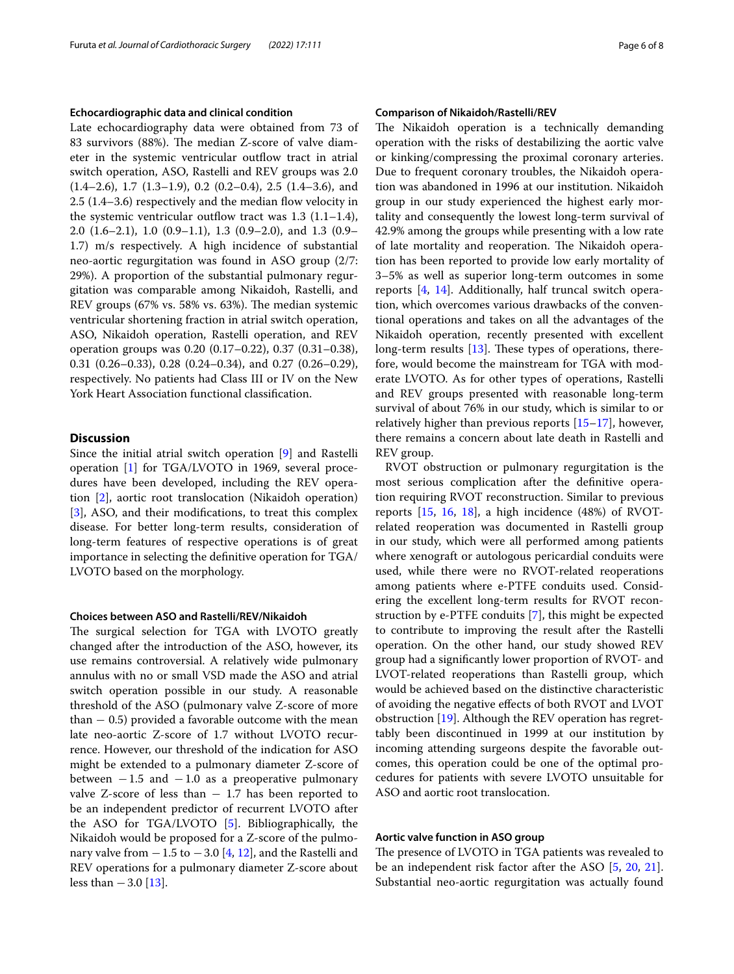#### **Echocardiographic data and clinical condition**

Late echocardiography data were obtained from 73 of 83 survivors (88%). The median Z-score of valve diameter in the systemic ventricular outfow tract in atrial switch operation, ASO, Rastelli and REV groups was 2.0 (1.4–2.6), 1.7 (1.3–1.9), 0.2 (0.2–0.4), 2.5 (1.4–3.6), and 2.5 (1.4–3.6) respectively and the median fow velocity in the systemic ventricular outflow tract was  $1.3$  (1.1–1.4), 2.0 (1.6–2.1), 1.0 (0.9–1.1), 1.3 (0.9–2.0), and 1.3 (0.9– 1.7) m/s respectively. A high incidence of substantial neo-aortic regurgitation was found in ASO group (2/7: 29%). A proportion of the substantial pulmonary regurgitation was comparable among Nikaidoh, Rastelli, and REV groups (67% vs. 58% vs. 63%). The median systemic ventricular shortening fraction in atrial switch operation, ASO, Nikaidoh operation, Rastelli operation, and REV operation groups was 0.20 (0.17–0.22), 0.37 (0.31–0.38), 0.31 (0.26–0.33), 0.28 (0.24–0.34), and 0.27 (0.26–0.29), respectively. No patients had Class III or IV on the New York Heart Association functional classifcation.

# **Discussion**

Since the initial atrial switch operation [\[9](#page-6-8)] and Rastelli operation [[1\]](#page-6-0) for TGA/LVOTO in 1969, several procedures have been developed, including the REV operation [[2](#page-6-1)], aortic root translocation (Nikaidoh operation) [[3\]](#page-6-2), ASO, and their modifications, to treat this complex disease. For better long-term results, consideration of long-term features of respective operations is of great importance in selecting the defnitive operation for TGA/ LVOTO based on the morphology.

## **Choices between ASO and Rastelli/REV/Nikaidoh**

The surgical selection for TGA with LVOTO greatly changed after the introduction of the ASO, however, its use remains controversial. A relatively wide pulmonary annulus with no or small VSD made the ASO and atrial switch operation possible in our study. A reasonable threshold of the ASO (pulmonary valve Z-score of more than  $-$  0.5) provided a favorable outcome with the mean late neo-aortic Z-score of 1.7 without LVOTO recurrence. However, our threshold of the indication for ASO might be extended to a pulmonary diameter Z-score of between  $-1.5$  and  $-1.0$  as a preoperative pulmonary valve Z-score of less than  $-1.7$  has been reported to be an independent predictor of recurrent LVOTO after the ASO for TGA/LVOTO [\[5\]](#page-6-4). Bibliographically, the Nikaidoh would be proposed for a Z-score of the pulmonary valve from  $-1.5$  to  $-3.0$  [\[4](#page-6-3), [12\]](#page-6-9), and the Rastelli and REV operations for a pulmonary diameter Z-score about less than  $-3.0$  [[13\]](#page-6-10).

#### **Comparison of Nikaidoh/Rastelli/REV**

The Nikaidoh operation is a technically demanding operation with the risks of destabilizing the aortic valve or kinking/compressing the proximal coronary arteries. Due to frequent coronary troubles, the Nikaidoh operation was abandoned in 1996 at our institution. Nikaidoh group in our study experienced the highest early mortality and consequently the lowest long-term survival of 42.9% among the groups while presenting with a low rate of late mortality and reoperation. The Nikaidoh operation has been reported to provide low early mortality of 3–5% as well as superior long-term outcomes in some reports [[4,](#page-6-3) [14\]](#page-6-11). Additionally, half truncal switch operation, which overcomes various drawbacks of the conventional operations and takes on all the advantages of the Nikaidoh operation, recently presented with excellent long-term results  $[13]$  $[13]$ . These types of operations, therefore, would become the mainstream for TGA with moderate LVOTO. As for other types of operations, Rastelli and REV groups presented with reasonable long-term survival of about 76% in our study, which is similar to or relatively higher than previous reports [\[15](#page-6-12)[–17](#page-7-0)], however, there remains a concern about late death in Rastelli and REV group.

RVOT obstruction or pulmonary regurgitation is the most serious complication after the defnitive operation requiring RVOT reconstruction. Similar to previous reports [[15,](#page-6-12) [16](#page-6-13), [18\]](#page-7-1), a high incidence (48%) of RVOTrelated reoperation was documented in Rastelli group in our study, which were all performed among patients where xenograft or autologous pericardial conduits were used, while there were no RVOT-related reoperations among patients where e-PTFE conduits used. Considering the excellent long-term results for RVOT reconstruction by e-PTFE conduits [[7\]](#page-6-6), this might be expected to contribute to improving the result after the Rastelli operation. On the other hand, our study showed REV group had a signifcantly lower proportion of RVOT- and LVOT-related reoperations than Rastelli group, which would be achieved based on the distinctive characteristic of avoiding the negative efects of both RVOT and LVOT obstruction [[19\]](#page-7-2). Although the REV operation has regrettably been discontinued in 1999 at our institution by incoming attending surgeons despite the favorable outcomes, this operation could be one of the optimal procedures for patients with severe LVOTO unsuitable for ASO and aortic root translocation.

## **Aortic valve function in ASO group**

The presence of LVOTO in TGA patients was revealed to be an independent risk factor after the ASO [\[5](#page-6-4), [20,](#page-7-3) [21](#page-7-4)]. Substantial neo-aortic regurgitation was actually found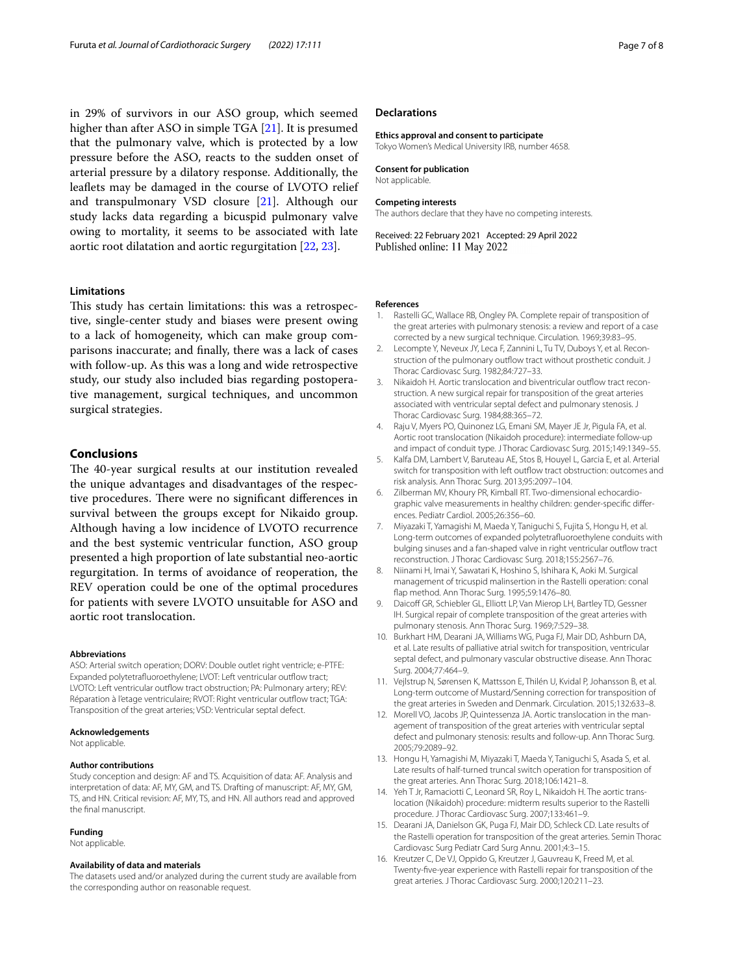in 29% of survivors in our ASO group, which seemed higher than after ASO in simple TGA [[21\]](#page-7-4). It is presumed that the pulmonary valve, which is protected by a low pressure before the ASO, reacts to the sudden onset of arterial pressure by a dilatory response. Additionally, the leafets may be damaged in the course of LVOTO relief and transpulmonary VSD closure [\[21](#page-7-4)]. Although our study lacks data regarding a bicuspid pulmonary valve owing to mortality, it seems to be associated with late aortic root dilatation and aortic regurgitation [[22](#page-7-5), [23\]](#page-7-6).

#### **Limitations**

This study has certain limitations: this was a retrospective, single-center study and biases were present owing to a lack of homogeneity, which can make group comparisons inaccurate; and fnally, there was a lack of cases with follow-up. As this was a long and wide retrospective study, our study also included bias regarding postoperative management, surgical techniques, and uncommon surgical strategies.

## **Conclusions**

The 40-year surgical results at our institution revealed the unique advantages and disadvantages of the respective procedures. There were no significant differences in survival between the groups except for Nikaido group. Although having a low incidence of LVOTO recurrence and the best systemic ventricular function, ASO group presented a high proportion of late substantial neo-aortic regurgitation. In terms of avoidance of reoperation, the REV operation could be one of the optimal procedures for patients with severe LVOTO unsuitable for ASO and aortic root translocation.

#### **Abbreviations**

ASO: Arterial switch operation; DORV: Double outlet right ventricle; e-PTFE: Expanded polytetrafluoroethylene; LVOT: Left ventricular outflow tract; LVOTO: Left ventricular outflow tract obstruction; PA: Pulmonary artery; REV: Réparation à l'etage ventriculaire; RVOT: Right ventricular outfow tract; TGA: Transposition of the great arteries; VSD: Ventricular septal defect.

#### **Acknowledgements**

Not applicable.

#### **Author contributions**

Study conception and design: AF and TS. Acquisition of data: AF. Analysis and interpretation of data: AF, MY, GM, and TS. Drafting of manuscript: AF, MY, GM, TS, and HN. Critical revision: AF, MY, TS, and HN. All authors read and approved the fnal manuscript.

#### **Funding**

Not applicable.

#### **Availability of data and materials**

The datasets used and/or analyzed during the current study are available from the corresponding author on reasonable request.

#### **Declarations**

#### **Ethics approval and consent to participate**

Tokyo Women's Medical University IRB, number 4658.

#### **Consent for publication**

Not applicable.

#### **Competing interests**

The authors declare that they have no competing interests.

Received: 22 February 2021 Accepted: 29 April 2022 Published online: 11 May 2022

#### **References**

- <span id="page-6-0"></span>1. Rastelli GC, Wallace RB, Ongley PA. Complete repair of transposition of the great arteries with pulmonary stenosis: a review and report of a case corrected by a new surgical technique. Circulation. 1969;39:83–95.
- <span id="page-6-1"></span>2. Lecompte Y, Neveux JY, Leca F, Zannini L, Tu TV, Duboys Y, et al. Reconstruction of the pulmonary outflow tract without prosthetic conduit. J Thorac Cardiovasc Surg. 1982;84:727–33.
- <span id="page-6-2"></span>3. Nikaidoh H. Aortic translocation and biventricular outflow tract reconstruction. A new surgical repair for transposition of the great arteries associated with ventricular septal defect and pulmonary stenosis. J Thorac Cardiovasc Surg. 1984;88:365–72.
- <span id="page-6-3"></span>4. Raju V, Myers PO, Quinonez LG, Emani SM, Mayer JE Jr, Pigula FA, et al. Aortic root translocation (Nikaidoh procedure): intermediate follow-up and impact of conduit type. J Thorac Cardiovasc Surg. 2015;149:1349–55.
- <span id="page-6-4"></span>5. Kalfa DM, Lambert V, Baruteau AE, Stos B, Houyel L, Garcia E, et al. Arterial switch for transposition with left outflow tract obstruction: outcomes and risk analysis. Ann Thorac Surg. 2013;95:2097–104.
- <span id="page-6-5"></span>6. Zilberman MV, Khoury PR, Kimball RT. Two-dimensional echocardiographic valve measurements in healthy children: gender-specifc diferences. Pediatr Cardiol. 2005;26:356–60.
- <span id="page-6-6"></span>7. Miyazaki T, Yamagishi M, Maeda Y, Taniguchi S, Fujita S, Hongu H, et al. Long-term outcomes of expanded polytetrafuoroethylene conduits with bulging sinuses and a fan-shaped valve in right ventricular outfow tract reconstruction. J Thorac Cardiovasc Surg. 2018;155:2567–76.
- <span id="page-6-7"></span>8. Niinami H, Imai Y, Sawatari K, Hoshino S, Ishihara K, Aoki M. Surgical management of tricuspid malinsertion in the Rastelli operation: conal fap method. Ann Thorac Surg. 1995;59:1476–80.
- <span id="page-6-8"></span>9. Daicoff GR, Schiebler GL, Elliott LP, Van Mierop LH, Bartley TD, Gessner IH. Surgical repair of complete transposition of the great arteries with pulmonary stenosis. Ann Thorac Surg. 1969;7:529–38.
- 10. Burkhart HM, Dearani JA, Williams WG, Puga FJ, Mair DD, Ashburn DA, et al. Late results of palliative atrial switch for transposition, ventricular septal defect, and pulmonary vascular obstructive disease. Ann Thorac Surg. 2004;77:464–9.
- 11. Vejlstrup N, Sørensen K, Mattsson E, Thilén U, Kvidal P, Johansson B, et al. Long-term outcome of Mustard/Senning correction for transposition of the great arteries in Sweden and Denmark. Circulation. 2015;132:633–8.
- <span id="page-6-9"></span>12. Morell VO, Jacobs JP, Quintessenza JA. Aortic translocation in the management of transposition of the great arteries with ventricular septal defect and pulmonary stenosis: results and follow-up. Ann Thorac Surg. 2005;79:2089–92.
- <span id="page-6-10"></span>13. Hongu H, Yamagishi M, Miyazaki T, Maeda Y, Taniguchi S, Asada S, et al. Late results of half-turned truncal switch operation for transposition of the great arteries. Ann Thorac Surg. 2018;106:1421–8.
- <span id="page-6-11"></span>14. Yeh T Jr, Ramaciotti C, Leonard SR, Roy L, Nikaidoh H. The aortic translocation (Nikaidoh) procedure: midterm results superior to the Rastelli procedure. J Thorac Cardiovasc Surg. 2007;133:461–9.
- <span id="page-6-12"></span>15. Dearani JA, Danielson GK, Puga FJ, Mair DD, Schleck CD. Late results of the Rastelli operation for transposition of the great arteries. Semin Thorac Cardiovasc Surg Pediatr Card Surg Annu. 2001;4:3–15.
- <span id="page-6-13"></span>16. Kreutzer C, De VJ, Oppido G, Kreutzer J, Gauvreau K, Freed M, et al. Twenty-fve-year experience with Rastelli repair for transposition of the great arteries. J Thorac Cardiovasc Surg. 2000;120:211–23.